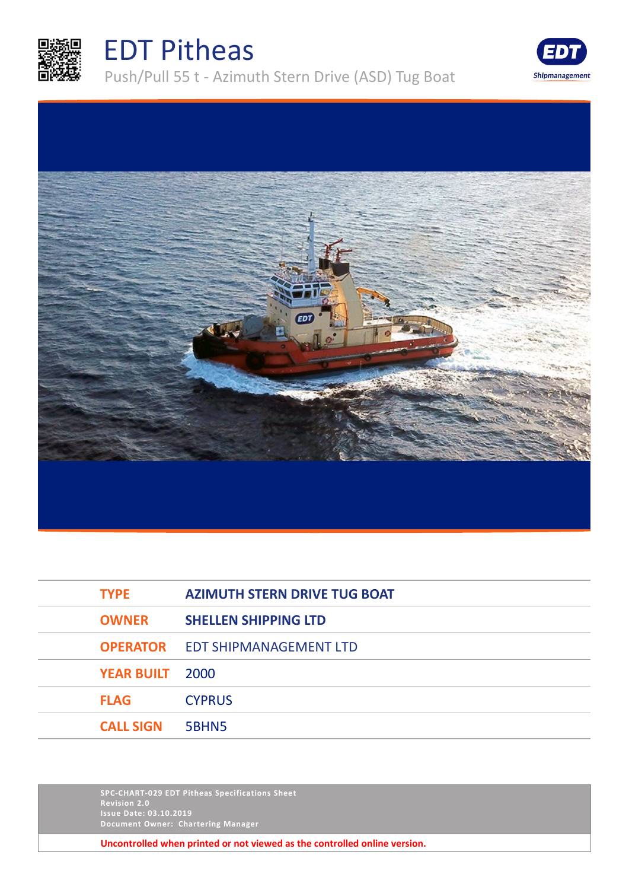

## EDT Pitheas Push/Pull 55 t - Azimuth Stern Drive (ASD) Tug Boat





| <b>TYPE</b>       | <b>AZIMUTH STERN DRIVE TUG BOAT</b> |
|-------------------|-------------------------------------|
| <b>OWNER</b>      | <b>SHELLEN SHIPPING LTD</b>         |
| <b>OPERATOR</b>   | <b>EDT SHIPMANAGEMENT LTD</b>       |
| <b>YEAR BUILT</b> | 2000                                |
| <b>FLAG</b>       | <b>CYPRUS</b>                       |
| <b>CALL SIGN</b>  | 5BHN5                               |
|                   |                                     |

**SPC-CHART-029 EDT Pitheas Specifications Sheet Revision 2.0 Issue Date: 03.10.2019 Document Owner: Chartering Manager**

**Uncontrolled when printed or not viewed as the controlled online version.**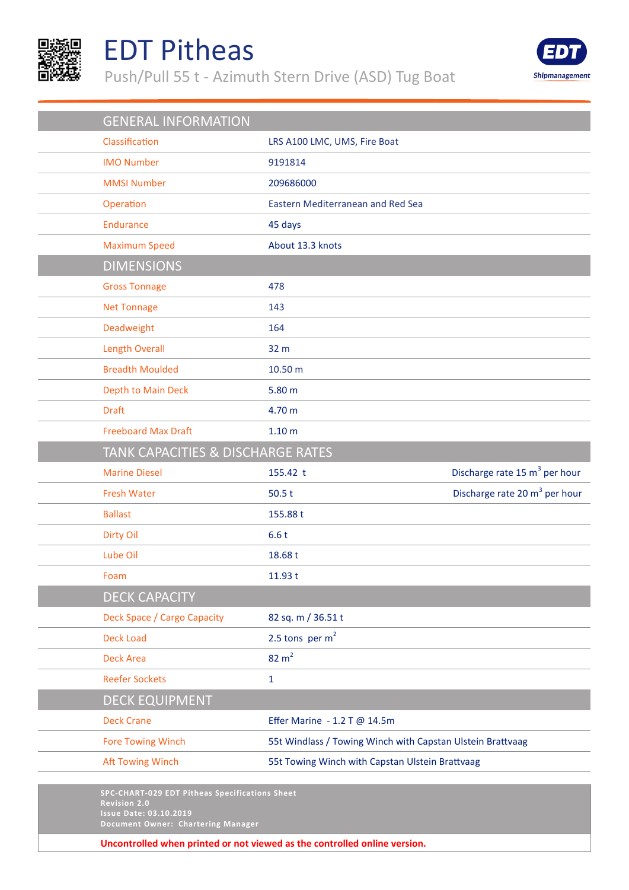

## EDT Pitheas

Push/Pull 55 t - Azimuth Stern Drive (ASD) Tug Boat



| <b>GENERAL INFORMATION</b>        |                                                            |                                           |
|-----------------------------------|------------------------------------------------------------|-------------------------------------------|
| Classification                    | LRS A100 LMC, UMS, Fire Boat                               |                                           |
| <b>IMO Number</b>                 | 9191814                                                    |                                           |
| <b>MMSI Number</b>                | 209686000                                                  |                                           |
| Operation                         | Eastern Mediterranean and Red Sea                          |                                           |
| Endurance                         | 45 days                                                    |                                           |
| <b>Maximum Speed</b>              | About 13.3 knots                                           |                                           |
| <b>DIMENSIONS</b>                 |                                                            |                                           |
| <b>Gross Tonnage</b>              | 478                                                        |                                           |
| <b>Net Tonnage</b>                | 143                                                        |                                           |
| Deadweight                        | 164                                                        |                                           |
| Length Overall                    | 32 m                                                       |                                           |
| <b>Breadth Moulded</b>            | 10.50 <sub>m</sub>                                         |                                           |
| Depth to Main Deck                | 5.80 <sub>m</sub>                                          |                                           |
| <b>Draft</b>                      | 4.70 m                                                     |                                           |
| <b>Freeboard Max Draft</b>        | 1.10 <sub>m</sub>                                          |                                           |
| TANK CAPACITIES & DISCHARGE RATES |                                                            |                                           |
| <b>Marine Diesel</b>              | 155.42 t                                                   | Discharge rate 15 m <sup>3</sup> per hour |
| <b>Fresh Water</b>                | 50.5t                                                      | Discharge rate 20 m <sup>3</sup> per hour |
| <b>Ballast</b>                    | 155.88t                                                    |                                           |
| <b>Dirty Oil</b>                  | 6.6t                                                       |                                           |
| Lube Oil                          | 18.68 t                                                    |                                           |
| Foam                              | 11.93 t                                                    |                                           |
| <b>DECK CAPACITY</b>              |                                                            |                                           |
| Deck Space / Cargo Capacity       | 82 sq. m / 36.51 t                                         |                                           |
| <b>Deck Load</b>                  | 2.5 tons per $m2$                                          |                                           |
| <b>Deck Area</b>                  | $82 \text{ m}^2$                                           |                                           |
| <b>Reefer Sockets</b>             | $\mathbf{1}$                                               |                                           |
| <b>DECK EQUIPMENT</b>             |                                                            |                                           |
| <b>Deck Crane</b>                 | Effer Marine - 1.2 T @ 14.5m                               |                                           |
| <b>Fore Towing Winch</b>          | 55t Windlass / Towing Winch with Capstan Ulstein Brattvaag |                                           |
| <b>Aft Towing Winch</b>           | 55t Towing Winch with Capstan Ulstein Brattvaag            |                                           |
|                                   |                                                            |                                           |

**SPC-CHART-029 EDT Pitheas Specifications Sheet Revision 2.0 Issue Date: 03.10.2019 Document Owner: Chartering Manager**

**Uncontrolled when printed or not viewed as the controlled online version.**